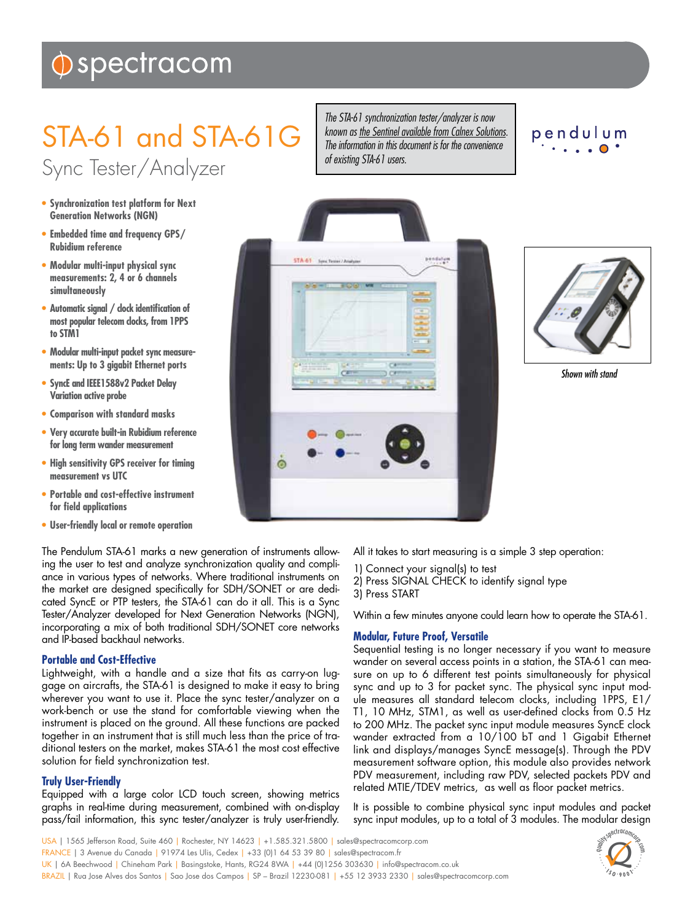# $\hat{\mathbf{\Phi}}$  spectracom

# STA-61 and STA-61G Sync Tester/Analyzer

- **• Synchronization test platform for Next Generation Networks (NGN)**
- **• Embedded time and frequency GPS/ Rubidium reference**
- **• Modular multi-input physical sync measurements: 2, 4 or 6 channels simultaneously**
- **• Automatic signal / clock identification of most popular telecom clocks, from 1PPS to STM1**
- **• Modular multi-input packet sync measurements: Up to 3 gigabit Ethernet ports**
- **• SyncE and IEEE1588v2 Packet Delay Variation active probe**
- **• Comparison with standard masks**
- **• Very accurate built-in Rubidium reference for long term wander measurement**
- **• High sensitivity GPS receiver for timing measurement vs UTC**
- **• Portable and cost-effective instrument for field applications**
- **• User-friendly local or remote operation**

The Pendulum STA-61 marks a new generation of instruments allowing the user to test and analyze synchronization quality and compliance in various types of networks. Where traditional instruments on the market are designed specifically for SDH/SONET or are dedicated SyncE or PTP testers, the STA-61 can do it all. This is a Sync Tester/Analyzer developed for Next Generation Networks (NGN), incorporating a mix of both traditional SDH/SONET core networks and IP-based backhaul networks.

# **Portable and Cost-Effective**

Lightweight, with a handle and a size that fits as carry-on luggage on aircrafts, the STA-61 is designed to make it easy to bring wherever you want to use it. Place the sync tester/analyzer on a work-bench or use the stand for comfortable viewing when the instrument is placed on the ground. All these functions are packed together in an instrument that is still much less than the price of traditional testers on the market, makes STA-61 the most cost effective solution for field synchronization test.

# **Truly User-Friendly**

Equipped with a large color LCD touch screen, showing metrics graphs in real-time during measurement, combined with on-display pass/fail information, this sync tester/analyzer is truly user-friendly.

*The STA-61 synchronization tester/analyzer is now known as [the Sentinel available from Calnex Solutions.](http://www.calnexsol.com/products/sentinel-product-description.html) The information in this document is for the convenience of existing STA-61 users.*

# pendulum





*Shown with stand*

All it takes to start measuring is a simple 3 step operation:

- 1) Connect your signal(s) to test
- 2) Press SIGNAL CHECK to identify signal type
- 3) Press START

Within a few minutes anyone could learn how to operate the STA-61.

# **Modular, Future Proof, Versatile**

Sequential testing is no longer necessary if you want to measure wander on several access points in a station, the STA-61 can measure on up to 6 different test points simultaneously for physical sync and up to 3 for packet sync. The physical sync input module measures all standard telecom clocks, including 1PPS, E1/ T1, 10 MHz, STM1, as well as user-defined clocks from 0.5 Hz to 200 MHz. The packet sync input module measures SyncE clock wander extracted from a 10/100 bT and 1 Gigabit Ethernet link and displays/manages SyncE message(s). Through the PDV measurement software option, this module also provides network PDV measurement, including raw PDV, selected packets PDV and related MTIE/TDEV metrics, as well as floor packet metrics.

It is possible to combine physical sync input modules and packet sync input modules, up to a total of 3 modules. The modular design

USA | 1565 Jefferson Road, Suite 460 | Rochester, NY 14623 | +1.585.321.5800 | sales@spectracomcorp.com FRANCE | 3 Avenue du Canada | 91974 Les Ulis, Cedex | +33 (0)1 64 53 39 80 | sales@spectracom.fr UK | 6A Beechwood | Chineham Park | Basingstoke, Hants, RG24 8WA | +44 (0)1256 303630 | info@spectracom.co.uk BRAZIL | Rua Jose Alves dos Santos | Sao Jose dos Campos | SP – Brazil 12230-081 | +55 12 3933 2330 | sales@spectracomcorp.com

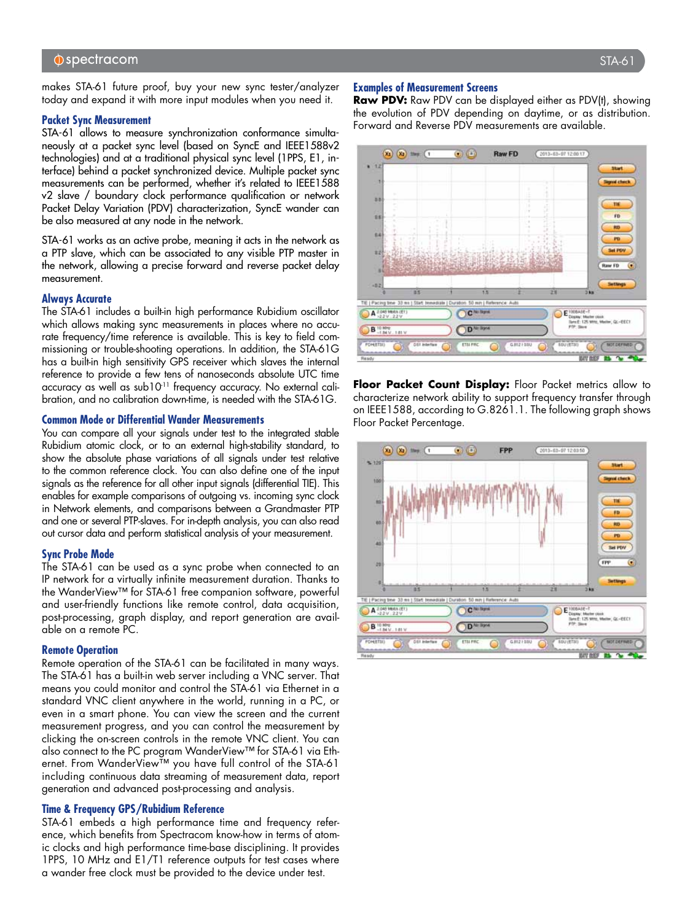makes STA-61 future proof, buy your new sync tester/analyzer today and expand it with more input modules when you need it.

#### **Packet Sync Measurement**

STA-61 allows to measure synchronization conformance simultaneously at a packet sync level (based on SyncE and IEEE1588v2 technologies) and at a traditional physical sync level (1PPS, E1, interface) behind a packet synchronized device. Multiple packet sync measurements can be performed, whether it's related to IEEE1588 v2 slave / boundary clock performance qualification or network Packet Delay Variation (PDV) characterization, SyncE wander can be also measured at any node in the network.

STA-61 works as an active probe, meaning it acts in the network as a PTP slave, which can be associated to any visible PTP master in the network, allowing a precise forward and reverse packet delay measurement.

#### **Always Accurate**

The STA-61 includes a built-in high performance Rubidium oscillator which allows making sync measurements in places where no accurate frequency/time reference is available. This is key to field commissioning or trouble-shooting operations. In addition, the STA-61G has a built-in high sensitivity GPS receiver which slaves the internal reference to provide a few tens of nanoseconds absolute UTC time accuracy as well as sub10<sup>-11</sup> frequency accuracy. No external calibration, and no calibration down-time, is needed with the STA-61G.

#### **Common Mode or Differential Wander Measurements**

You can compare all your signals under test to the integrated stable Rubidium atomic clock, or to an external high-stability standard, to show the absolute phase variations of all signals under test relative to the common reference clock. You can also define one of the input signals as the reference for all other input signals (differential TIE). This enables for example comparisons of outgoing vs. incoming sync clock in Network elements, and comparisons between a Grandmaster PTP and one or several PTP-slaves. For in-depth analysis, you can also read out cursor data and perform statistical analysis of your measurement.

#### **Sync Probe Mode**

The STA-61 can be used as a sync probe when connected to an IP network for a virtually infinite measurement duration. Thanks to the WanderView™ for STA-61 free companion software, powerful and user-friendly functions like remote control, data acquisition, post-processing, graph display, and report generation are available on a remote PC.

#### **Remote Operation**

Remote operation of the STA-61 can be facilitated in many ways. The STA-61 has a built-in web server including a VNC server. That means you could monitor and control the STA-61 via Ethernet in a standard VNC client anywhere in the world, running in a PC, or even in a smart phone. You can view the screen and the current measurement progress, and you can control the measurement by clicking the on-screen controls in the remote VNC client. You can also connect to the PC program WanderView™ for STA-61 via Ethernet. From WanderView™ you have full control of the STA-61 including continuous data streaming of measurement data, report generation and advanced post-processing and analysis.

#### **Time & Frequency GPS/Rubidium Reference**

STA-61 embeds a high performance time and frequency reference, which benefits from Spectracom know-how in terms of atomic clocks and high performance time-base disciplining. It provides 1PPS, 10 MHz and E1/T1 reference outputs for test cases where a wander free clock must be provided to the device under test.

#### **Examples of Measurement Screens**

**Raw PDV:** Raw PDV can be displayed either as PDV(t), showing the evolution of PDV depending on daytime, or as distribution. Forward and Reverse PDV measurements are available.



**Floor Packet Count Display:** Floor Packet metrics allow to characterize network ability to support frequency transfer through on IEEE1588, according to G.8261.1. The following graph shows Floor Packet Percentage.

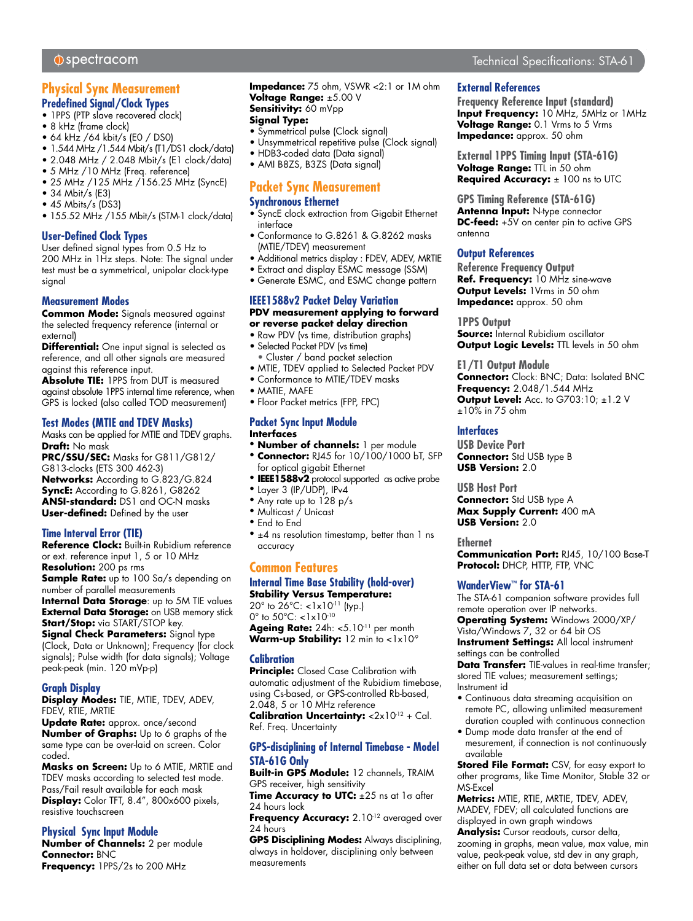# **Physical Sync Measurement Predefined Signal/Clock Types**

- 1PPS (PTP slave recovered clock)
- 8 kHz (frame clock)
- 64 kHz /64 kbit/s (E0 / DS0)
- 1.544 MHz /1.544 Mbit/s (T1/DS1 clock/data)
- 2.048 MHz / 2.048 Mbit/s (E1 clock/data)
- 5 MHz /10 MHz (Freq. reference)
- 25 MHz /125 MHz /156.25 MHz (SyncE)
- 34 Mbit/s (E3)
- 45 Mbits/s (DS3)
- 155.52 MHz /155 Mbit/s (STM-1 clock/data)

#### **User-Defined Clock Types**

User defined signal types from 0.5 Hz to 200 MHz in 1Hz steps. Note: The signal under test must be a symmetrical, unipolar clock-type signal

### **Measurement Modes**

**Common Mode:** Signals measured against the selected frequency reference (internal or external)

**Differential:** One input signal is selected as reference, and all other signals are measured against this reference input.

**Absolute TIE:** 1PPS from DUT is measured against absolute 1PPS internal time reference, when GPS is locked (also called TOD measurement)

#### **Test Modes (MTIE and TDEV Masks)**

Masks can be applied for MTIE and TDEV graphs. **Draft:** No mask

**PRC/SSU/SEC:** Masks for G811/G812/ G813-clocks (ETS 300 462-3) **Networks:** According to G.823/G.824 **SyncE:** According to G.8261, G8262 **ANSI-standard:** DS1 and OC-N masks **User-defined:** Defined by the user

#### **Time Interval Error (TIE)**

**Reference Clock:** Built-in Rubidium reference or ext. reference input 1, 5 or 10 MHz **Resolution:** 200 ps rms

**Sample Rate:** up to 100 Sa/s depending on number of parallel measurements

**Internal Data Storage**: up to 5M TIE values **External Data Storage:** on USB memory stick **Start/Stop:** via START/STOP key.

**Signal Check Parameters:** Signal type (Clock, Data or Unknown); Frequency (for clock signals); Pulse width (for data signals); Voltage peak-peak (min. 120 mVp-p)

#### **Graph Display**

**Display Modes:** TIE, MTIE, TDEV, ADEV, FDEV, RTIE, MRTIE

**Update Rate:** approx. once/second **Number of Graphs:** Up to 6 graphs of the same type can be over-laid on screen. Color coded.

**Masks on Screen:** Up to 6 MTIE, MRTIE and TDEV masks according to selected test mode. Pass/Fail result available for each mask **Display:** Color TFT, 8.4", 800x600 pixels, resistive touchscreen

# **Physical Sync Input Module**

**Number of Channels:** 2 per module **Connector:** BNC **Frequency:** 1PPS/2s to 200 MHz

**Impedance:** 75 ohm, VSWR <2:1 or 1M ohm **Voltage Range:** ±5.00 V **Sensitivity:** 60 mVpp **Signal Type:**

# • Symmetrical pulse (Clock signal)

- Unsymmetrical repetitive pulse (Clock signal)
- HDB3-coded data (Data signal)
- AMI B8ZS, B3ZS (Data signal)

# **Packet Sync Measurement**

# **Synchronous Ethernet**

- SyncE clock extraction from Gigabit Ethernet interface
- Conformance to G.8261 & G.8262 masks (MTIE/TDEV) measurement
- Additional metrics display : FDEV, ADEV, MRTIE
- Extract and display ESMC message (SSM)
- Generate ESMC, and ESMC change pattern

#### **IEEE1588v2 Packet Delay Variation PDV measurement applying to forward or reverse packet delay direction**

- Raw PDV (vs time, distribution graphs)
- Selected Packet PDV (vs time)
- Cluster / band packet selection • MTIE, TDEV applied to Selected Packet PDV
- Conformance to MTIE/TDEV masks
- MATIE, MAFE
- Floor Packet metrics (FPP, FPC)

#### **Packet Sync Input Module Interfaces**

- • **Number of channels:** 1 per module
- • **Connector:** RJ45 for 10/100/1000 bT, SFP for optical gigabit Ethernet
- • **IEEE1588v2** protocol supported as active probe
- • Layer 3 (IP/UDP), IPv4
- Any rate up to 128 p/s
- • Multicast / Unicast
- • End to End
- $\bullet$   $\pm$ 4 ns resolution timestamp, better than 1 ns accuracy

# **Common Features**

# **Internal Time Base Stability (hold-over)**

**Stability Versus Temperature:** 20 $^{\circ}$  to  $26^{\circ}$ C: <1x10<sup>-11</sup> (typ.) 0° to 50°C: <1x10-10 Ageing Rate: 24h: <5.10<sup>-11</sup> per month

Warm-up Stability: 12 min to <1x10<sup>-9</sup>

#### **Calibration**

**Principle:** Closed Case Calibration with automatic adjustment of the Rubidium timebase, using Cs-based, or GPS-controlled Rb-based, 2.048, 5 or 10 MHz reference

**Calibration Uncertainty:** <2x10<sup>-12</sup> + Cal. Ref. Freq. Uncertainty

#### **GPS-disciplining of Internal Timebase - Model STA-61G Only**

**Built-in GPS Module:** 12 channels, TRAIM GPS receiver, high sensitivity

**Time Accuracy to UTC:** ±25 ns at 1σ after 24 hours lock

Frequency Accuracy: 2.10<sup>-12</sup> averaged over 24 hours

**GPS Disciplining Modes:** Always disciplining, always in holdover, disciplining only between measurements

# Technical Specifications: STA-61

### **External References**

**Frequency Reference Input (standard) Input Frequency:** 10 MHz, 5MHz or 1MHz **Voltage Range:** 0.1 Vrms to 5 Vrms **Impedance:** approx. 50 ohm

**External 1PPS Timing Input (STA-61G) Voltage Range:** TTL in 50 ohm **Required Accuracy:** ± 100 ns to UTC

**GPS Timing Reference (STA-61G) Antenna Input:** N-type connector **DC-feed:** +5V on center pin to active GPS antenna

#### **Output References**

**Reference Frequency Output Ref. Frequency:** 10 MHz sine-wave **Output Levels:** 1Vrms in 50 ohm **Impedance:** approx. 50 ohm

#### **1PPS Output**

**Source:** Internal Rubidium oscillator **Output Logic Levels: TTL levels in 50 ohm** 

**E1/T1 Output Module Connector:** Clock: BNC; Data: Isolated BNC **Frequency:** 2.048/1.544 MHz **Output Level:** Acc. to G703:10; ±1.2 V ±10% in 75 ohm

### **Interfaces**

**USB Device Port Connector:** Std USB type B **USB Version:** 2.0

**USB Host Port Connector:** Std USB type A **Max Supply Current:** 400 mA **USB Version:** 2.0

**Ethernet Communication Port:** RJ45, 10/100 Base-T **Protocol:** DHCP, HTTP, FTP, VNC

#### **WanderView™ for STA-61**

The STA-61 companion software provides full remote operation over IP networks. **Operating System:** Windows 2000/XP/ Vista/Windows 7, 32 or 64 bit OS **Instrument Settings: All local instrument** settings can be controlled

**Data Transfer:** TIE-values in real-time transfer; stored TIE values; measurement settings; Instrument id

- Continuous data streaming acquisition on remote PC, allowing unlimited measurement duration coupled with continuous connection
- Dump mode data transfer at the end of mesurement, if connection is not continuously available

**Stored File Format:** CSV, for easy export to other programs, like Time Monitor, Stable 32 or MS-Excel

**Metrics:** MTIE, RTIE, MRTIE, TDEV, ADEV, MADEV, FDEV; all calculated functions are displayed in own graph windows

**Analysis:** Cursor readouts, cursor delta, zooming in graphs, mean value, max value, min value, peak-peak value, std dev in any graph, either on full data set or data between cursors